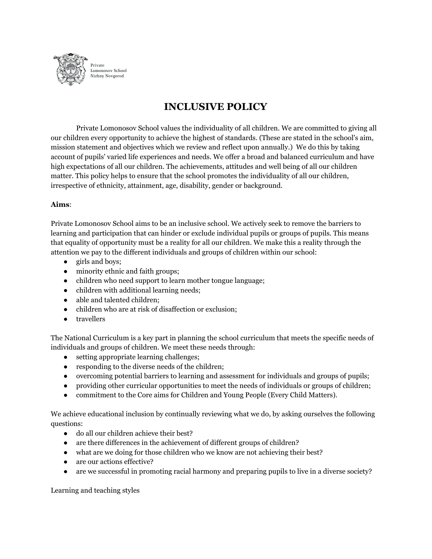

## **INCLUSIVE POLICY**

Private Lomonosov School values the individuality of all children. We are committed to giving all our children every opportunity to achieve the highest of standards. (These are stated in the school's aim, mission statement and objectives which we review and reflect upon annually.) We do this by taking account of pupils' varied life experiences and needs. We offer a broad and balanced curriculum and have high expectations of all our children. The achievements, attitudes and well being of all our children matter. This policy helps to ensure that the school promotes the individuality of all our children, irrespective of ethnicity, attainment, age, disability, gender or background.

## **Aims**:

Private Lomonosov School aims to be an inclusive school. We actively seek to remove the barriers to learning and participation that can hinder or exclude individual pupils or groups of pupils. This means that equality of opportunity must be a reality for all our children. We make this a reality through the attention we pay to the different individuals and groups of children within our school:

- girls and boys;
- minority ethnic and faith groups;
- children who need support to learn mother tongue language;
- children with additional learning needs;
- able and talented children;
- children who are at risk of disaffection or exclusion;
- travellers

The National Curriculum is a key part in planning the school curriculum that meets the specific needs of individuals and groups of children. We meet these needs through:

- setting appropriate learning challenges;
- responding to the diverse needs of the children;
- overcoming potential barriers to learning and assessment for individuals and groups of pupils;
- providing other curricular opportunities to meet the needs of individuals or groups of children;
- commitment to the Core aims for Children and Young People (Every Child Matters).

We achieve educational inclusion by continually reviewing what we do, by asking ourselves the following questions:

- do all our children achieve their best?
- are there differences in the achievement of different groups of children?
- what are we doing for those children who we know are not achieving their best?
- are our actions effective?
- are we successful in promoting racial harmony and preparing pupils to live in a diverse society?

Learning and teaching styles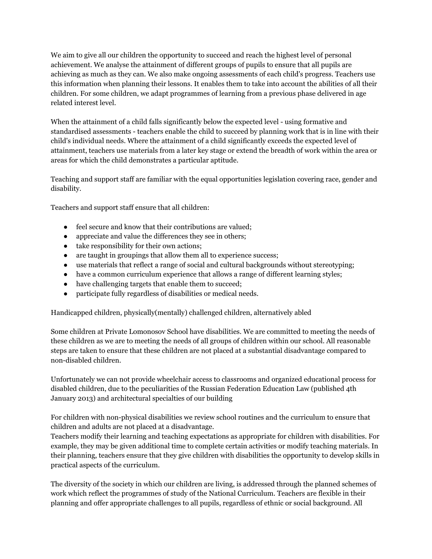We aim to give all our children the opportunity to succeed and reach the highest level of personal achievement. We analyse the attainment of different groups of pupils to ensure that all pupils are achieving as much as they can. We also make ongoing assessments of each child's progress. Teachers use this information when planning their lessons. It enables them to take into account the abilities of all their children. For some children, we adapt programmes of learning from a previous phase delivered in age related interest level.

When the attainment of a child falls significantly below the expected level - using formative and standardised assessments - teachers enable the child to succeed by planning work that is in line with their child's individual needs. Where the attainment of a child significantly exceeds the expected level of attainment, teachers use materials from a later key stage or extend the breadth of work within the area or areas for which the child demonstrates a particular aptitude.

Teaching and support staff are familiar with the equal opportunities legislation covering race, gender and disability.

Teachers and support staff ensure that all children:

- feel secure and know that their contributions are valued;
- appreciate and value the differences they see in others;
- take responsibility for their own actions;
- are taught in groupings that allow them all to experience success;
- use materials that reflect a range of social and cultural backgrounds without stereotyping;
- have a common curriculum experience that allows a range of different learning styles;
- have challenging targets that enable them to succeed;
- participate fully regardless of disabilities or medical needs.

Handicapped children, physically(mentally) challenged children, alternatively abled

Some children at Private Lomonosov School have disabilities. We are committed to meeting the needs of these children as we are to meeting the needs of all groups of children within our school. All reasonable steps are taken to ensure that these children are not placed at a substantial disadvantage compared to non-disabled children.

Unfortunately we can not provide wheelchair access to classrooms and organized educational process for disabled children, due to the peculiarities of the Russian Federation Education Law (published 4th January 2013) and architectural specialties of our building

For children with non-physical disabilities we review school routines and the curriculum to ensure that children and adults are not placed at a disadvantage.

Teachers modify their learning and teaching expectations as appropriate for children with disabilities. For example, they may be given additional time to complete certain activities or modify teaching materials. In their planning, teachers ensure that they give children with disabilities the opportunity to develop skills in practical aspects of the curriculum.

The diversity of the society in which our children are living, is addressed through the planned schemes of work which reflect the programmes of study of the National Curriculum. Teachers are flexible in their planning and offer appropriate challenges to all pupils, regardless of ethnic or social background. All